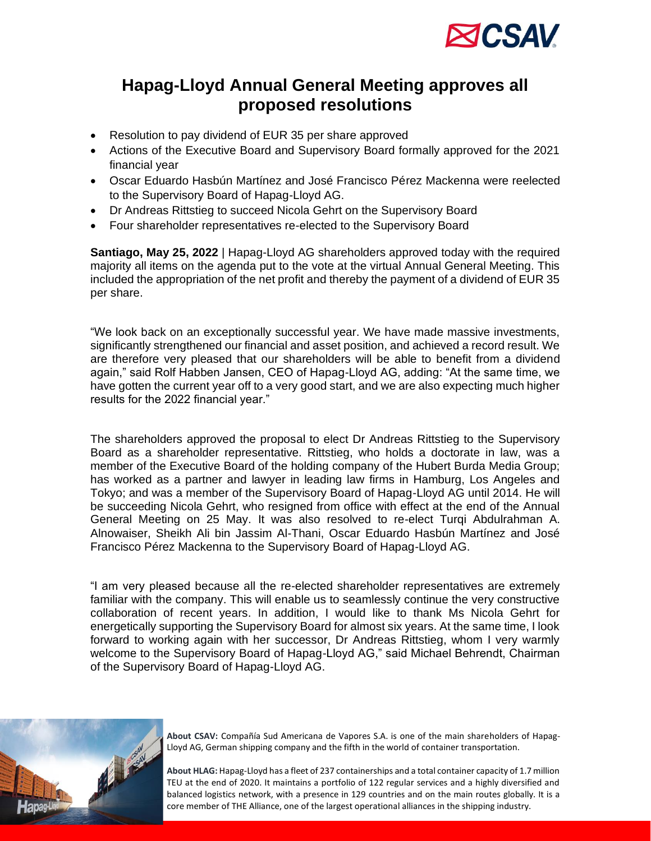

## **Hapag-Lloyd Annual General Meeting approves all proposed resolutions**

- Resolution to pay dividend of EUR 35 per share approved
- Actions of the Executive Board and Supervisory Board formally approved for the 2021 financial year
- Oscar Eduardo Hasbún Martínez and José Francisco Pérez Mackenna were reelected to the Supervisory Board of Hapag-Lloyd AG.
- Dr Andreas Rittstieg to succeed Nicola Gehrt on the Supervisory Board
- Four shareholder representatives re-elected to the Supervisory Board

**Santiago, May 25, 2022** | Hapag-Lloyd AG shareholders approved today with the required majority all items on the agenda put to the vote at the virtual Annual General Meeting. This included the appropriation of the net profit and thereby the payment of a dividend of EUR 35 per share.

"We look back on an exceptionally successful year. We have made massive investments, significantly strengthened our financial and asset position, and achieved a record result. We are therefore very pleased that our shareholders will be able to benefit from a dividend again," said Rolf Habben Jansen, CEO of Hapag-Lloyd AG, adding: "At the same time, we have gotten the current year off to a very good start, and we are also expecting much higher results for the 2022 financial year."

The shareholders approved the proposal to elect Dr Andreas Rittstieg to the Supervisory Board as a shareholder representative. Rittstieg, who holds a doctorate in law, was a member of the Executive Board of the holding company of the Hubert Burda Media Group; has worked as a partner and lawyer in leading law firms in Hamburg, Los Angeles and Tokyo; and was a member of the Supervisory Board of Hapag-Lloyd AG until 2014. He will be succeeding Nicola Gehrt, who resigned from office with effect at the end of the Annual General Meeting on 25 May. It was also resolved to re-elect Turqi Abdulrahman A. Alnowaiser, Sheikh Ali bin Jassim Al-Thani, Oscar Eduardo Hasbún Martínez and José Francisco Pérez Mackenna to the Supervisory Board of Hapag-Lloyd AG.

"I am very pleased because all the re-elected shareholder representatives are extremely familiar with the company. This will enable us to seamlessly continue the very constructive collaboration of recent years. In addition, I would like to thank Ms Nicola Gehrt for energetically supporting the Supervisory Board for almost six years. At the same time, I look forward to working again with her successor, Dr Andreas Rittstieg, whom I very warmly welcome to the Supervisory Board of Hapag-Lloyd AG," said Michael Behrendt, Chairman of the Supervisory Board of Hapag-Lloyd AG.



**About CSAV:** Compañía Sud Americana de Vapores S.A. is one of the main shareholders of Hapag-Lloyd AG, German shipping company and the fifth in the world of container transportation.

**About HLAG:** Hapag-Lloyd has a fleet of 237 containerships and a total container capacity of 1.7 million TEU at the end of 2020. It maintains a portfolio of 122 regular services and a highly diversified and balanced logistics network, with a presence in 129 countries and on the main routes globally. It is a core member of THE Alliance, one of the largest operational alliances in the shipping industry.